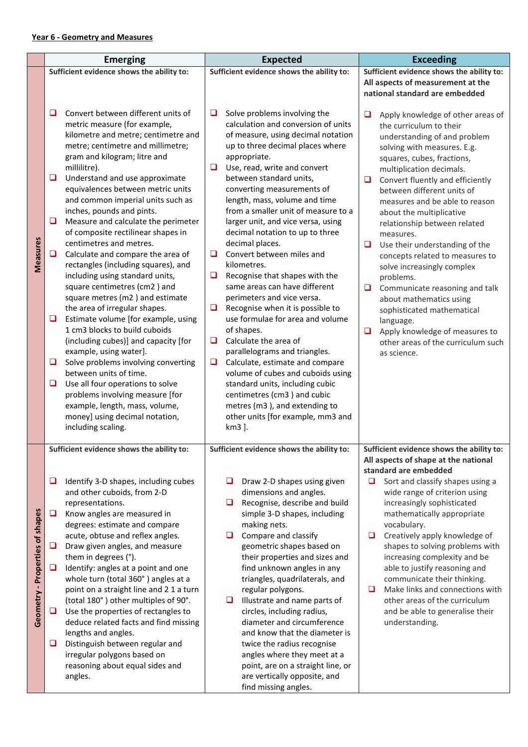## Year 6 - Geometry and Measures

|                                 | <b>Emerging</b>                                                                                                                                                                                                                                                                                                                                                                                                                                                                                                                                                                                                                                                                                                                                                                                                                                                                                                                                                                                                                                                                   | <b>Expected</b>                                                                                                                                                                                                                                                                                                                                                                                                                                                                                                                                                                                                                                                                                                                                                                                                                                                                                                                                                                                          | <b>Exceeding</b>                                                                                                                                                                                                                                                                                                                                                                                                                                                                                                                                                                                                                                                                                                                             |  |
|---------------------------------|-----------------------------------------------------------------------------------------------------------------------------------------------------------------------------------------------------------------------------------------------------------------------------------------------------------------------------------------------------------------------------------------------------------------------------------------------------------------------------------------------------------------------------------------------------------------------------------------------------------------------------------------------------------------------------------------------------------------------------------------------------------------------------------------------------------------------------------------------------------------------------------------------------------------------------------------------------------------------------------------------------------------------------------------------------------------------------------|----------------------------------------------------------------------------------------------------------------------------------------------------------------------------------------------------------------------------------------------------------------------------------------------------------------------------------------------------------------------------------------------------------------------------------------------------------------------------------------------------------------------------------------------------------------------------------------------------------------------------------------------------------------------------------------------------------------------------------------------------------------------------------------------------------------------------------------------------------------------------------------------------------------------------------------------------------------------------------------------------------|----------------------------------------------------------------------------------------------------------------------------------------------------------------------------------------------------------------------------------------------------------------------------------------------------------------------------------------------------------------------------------------------------------------------------------------------------------------------------------------------------------------------------------------------------------------------------------------------------------------------------------------------------------------------------------------------------------------------------------------------|--|
|                                 | Sufficient evidence shows the ability to:                                                                                                                                                                                                                                                                                                                                                                                                                                                                                                                                                                                                                                                                                                                                                                                                                                                                                                                                                                                                                                         | Sufficient evidence shows the ability to:                                                                                                                                                                                                                                                                                                                                                                                                                                                                                                                                                                                                                                                                                                                                                                                                                                                                                                                                                                | Sufficient evidence shows the ability to:<br>All aspects of measurement at the                                                                                                                                                                                                                                                                                                                                                                                                                                                                                                                                                                                                                                                               |  |
| Measures                        | Convert between different units of<br>□<br>metric measure (for example,<br>kilometre and metre; centimetre and<br>metre; centimetre and millimetre;<br>gram and kilogram; litre and<br>millilitre).<br>❏<br>Understand and use approximate<br>equivalences between metric units<br>and common imperial units such as<br>inches, pounds and pints.<br>❏<br>Measure and calculate the perimeter<br>of composite rectilinear shapes in<br>centimetres and metres.<br>❏<br>Calculate and compare the area of<br>rectangles (including squares), and<br>including using standard units,<br>square centimetres (cm2) and<br>square metres (m2) and estimate<br>the area of irregular shapes.<br>Estimate volume [for example, using<br>❏<br>1 cm3 blocks to build cuboids<br>(including cubes)] and capacity [for<br>example, using water].<br>Solve problems involving converting<br>❏<br>between units of time.<br>Use all four operations to solve<br>□<br>problems involving measure [for<br>example, length, mass, volume,<br>money] using decimal notation,<br>including scaling. | Solve problems involving the<br>⊔<br>calculation and conversion of units<br>of measure, using decimal notation<br>up to three decimal places where<br>appropriate.<br>$\Box$<br>Use, read, write and convert<br>between standard units,<br>converting measurements of<br>length, mass, volume and time<br>from a smaller unit of measure to a<br>larger unit, and vice versa, using<br>decimal notation to up to three<br>decimal places.<br>Convert between miles and<br>$\Box$<br>kilometres.<br>□<br>Recognise that shapes with the<br>same areas can have different<br>perimeters and vice versa.<br>Recognise when it is possible to<br>□<br>use formulae for area and volume<br>of shapes.<br>Calculate the area of<br>$\Box$<br>parallelograms and triangles.<br>$\Box$<br>Calculate, estimate and compare<br>volume of cubes and cuboids using<br>standard units, including cubic<br>centimetres (cm3) and cubic<br>metres (m3), and extending to<br>other units [for example, mm3 and<br>km3 ]. | national standard are embedded<br>□<br>Apply knowledge of other areas of<br>the curriculum to their<br>understanding of and problem<br>solving with measures. E.g.<br>squares, cubes, fractions,<br>multiplication decimals.<br>Convert fluently and efficiently<br>O<br>between different units of<br>measures and be able to reason<br>about the multiplicative<br>relationship between related<br>measures.<br>❏<br>Use their understanding of the<br>concepts related to measures to<br>solve increasingly complex<br>problems.<br>0<br>Communicate reasoning and talk<br>about mathematics using<br>sophisticated mathematical<br>language.<br>Apply knowledge of measures to<br>❏<br>other areas of the curriculum such<br>as science. |  |
| Geometry - Properties of shapes | Sufficient evidence shows the ability to:<br>$\Box$<br>Identify 3-D shapes, including cubes<br>and other cuboids, from 2-D<br>representations.<br>$\Box$<br>Know angles are measured in<br>degrees: estimate and compare<br>acute, obtuse and reflex angles.<br>Draw given angles, and measure<br>❏<br>them in degrees (°).<br>❏<br>Identify: angles at a point and one<br>whole turn (total 360°) angles at a<br>point on a straight line and 2 1 a turn<br>(total 180°) other multiples of 90°.<br>Use the properties of rectangles to<br>❏<br>deduce related facts and find missing<br>lengths and angles.<br>Distinguish between regular and<br>❏<br>irregular polygons based on<br>reasoning about equal sides and<br>angles.                                                                                                                                                                                                                                                                                                                                                | Sufficient evidence shows the ability to:<br>Draw 2-D shapes using given<br>❏<br>dimensions and angles.<br>Recognise, describe and build<br>□<br>simple 3-D shapes, including<br>making nets.<br>Compare and classify<br>$\Box$<br>geometric shapes based on<br>their properties and sizes and<br>find unknown angles in any<br>triangles, quadrilaterals, and<br>regular polygons.<br>Illustrate and name parts of<br>□<br>circles, including radius,<br>diameter and circumference<br>and know that the diameter is<br>twice the radius recognise<br>angles where they meet at a<br>point, are on a straight line, or<br>are vertically opposite, and<br>find missing angles.                                                                                                                                                                                                                                                                                                                          | Sufficient evidence shows the ability to:<br>All aspects of shape at the national<br>standard are embedded<br>Sort and classify shapes using a<br>u<br>wide range of criterion using<br>increasingly sophisticated<br>mathematically appropriate<br>vocabulary.<br>Creatively apply knowledge of<br>o<br>shapes to solving problems with<br>increasing complexity and be<br>able to justify reasoning and<br>communicate their thinking.<br>Make links and connections with<br>$\Box$<br>other areas of the curriculum<br>and be able to generalise their<br>understanding.                                                                                                                                                                  |  |